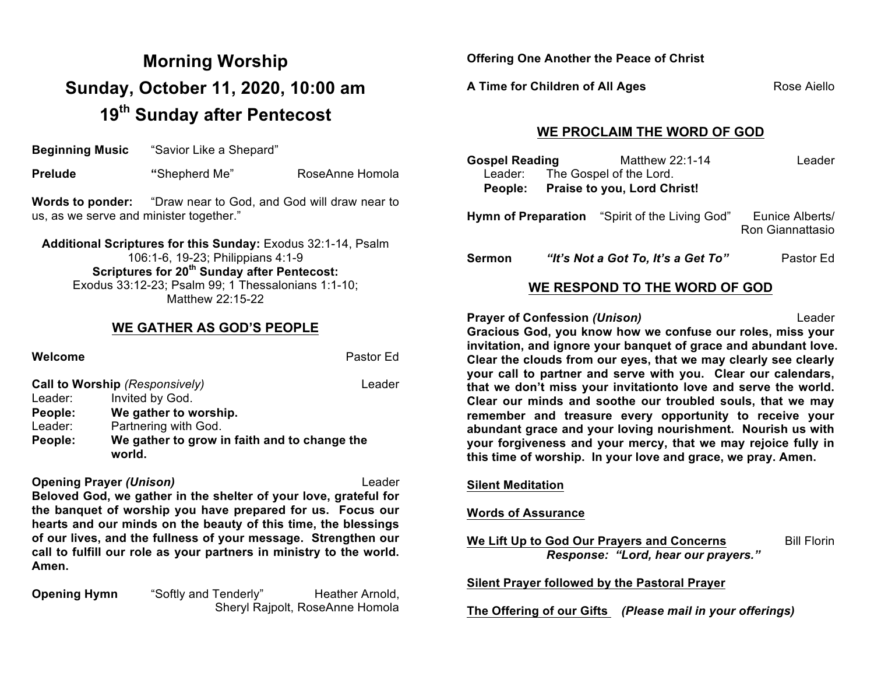# **Morning Worship Sunday, October 11, 2020, 10:00 am 19th Sunday after Pentecost**

**Beginning Music** "Savior Like a Shepard"

**Prelude** *"***Shepherd Me" RoseAnne Homola Research Research Research Research Research Research Research Research Research Research Research Research Research Research Research Research Research Research Research Research** 

**Words to ponder:** "Draw near to God, and God will draw near to us, as we serve and minister together."

**Additional Scriptures for this Sunday:** Exodus 32:1-14, Psalm 106:1-6, 19-23; Philippians 4:1-9 **Scriptures for 20th Sunday after Pentecost:**  Exodus 33:12-23; Psalm 99; 1 Thessalonians 1:1-10; Matthew 22:15-22

### **WE GATHER AS GOD'S PEOPLE**

## **Welcome** Pastor Ed **Call to Worship** *(Responsively)* Leader Leader: Invited by God. **People: We gather to worship.** Leader: Partnering with God. **People: We gather to grow in faith and to change the world.**

**Opening Prayer** *(Unison)* Leader **Beloved God, we gather in the shelter of your love, grateful for the banquet of worship you have prepared for us. Focus our hearts and our minds on the beauty of this time, the blessings of our lives, and the fullness of your message. Strengthen our call to fulfill our role as your partners in ministry to the world. Amen.**

**Opening Hymn** "Softly and Tenderly" Heather Arnold, Sheryl Rajpolt, RoseAnne Homola **Offering One Another the Peace of Christ**

**A Time for Children of All Ages** Rose Aiello

## **WE PROCLAIM THE WORD OF GOD**

| <b>Gospel Reading</b> |                                     | Matthew 22:1-14                                       | Leader                              |  |
|-----------------------|-------------------------------------|-------------------------------------------------------|-------------------------------------|--|
|                       |                                     | Leader: The Gospel of the Lord.                       |                                     |  |
|                       | People: Praise to you, Lord Christ! |                                                       |                                     |  |
|                       |                                     | <b>Hymn of Preparation</b> "Spirit of the Living God" | Eunice Alberts/<br>Ron Giannattasio |  |

**Sermon** *"It's Not a Got To, It's a Get To"* Pastor Ed

# **WE RESPOND TO THE WORD OF GOD**

**Prayer of Confession** *(Unison)* Leader **Gracious God, you know how we confuse our roles, miss your invitation, and ignore your banquet of grace and abundant love. Clear the clouds from our eyes, that we may clearly see clearly your call to partner and serve with you. Clear our calendars, that we don't miss your invitationto love and serve the world. Clear our minds and soothe our troubled souls, that we may remember and treasure every opportunity to receive your abundant grace and your loving nourishment. Nourish us with your forgiveness and your mercy, that we may rejoice fully in this time of worship. In your love and grace, we pray. Amen.**

#### **Silent Meditation**

#### **Words of Assurance**

**We Lift Up to God Our Prayers and Concerns** Bill Florin *Response: "Lord, hear our prayers."*

**Silent Prayer followed by the Pastoral Prayer**

**The Offering of our Gifts** *(Please mail in your offerings)*